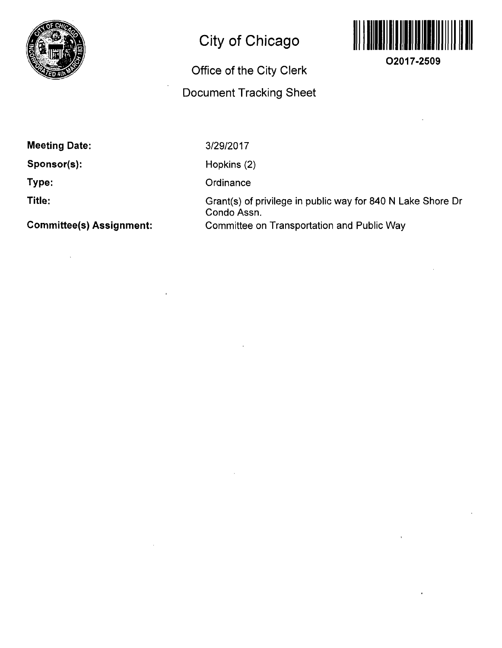

# **City of Chicago**

# **Office of the City Clerk**

# **Document Tracking Sheet**



**O2017-2509** 

**Meeting Date:** 

**Sponsor(s):** 

**Type:** 

**Title:** 

**Committee(s) Assignment:** 

3/29/2017

Hopkins (2)

**Ordinance** 

Grant(s) of privilege in public way for 840 N Lake Shore Dr Condo Assn. Committee on Transportation and Public Way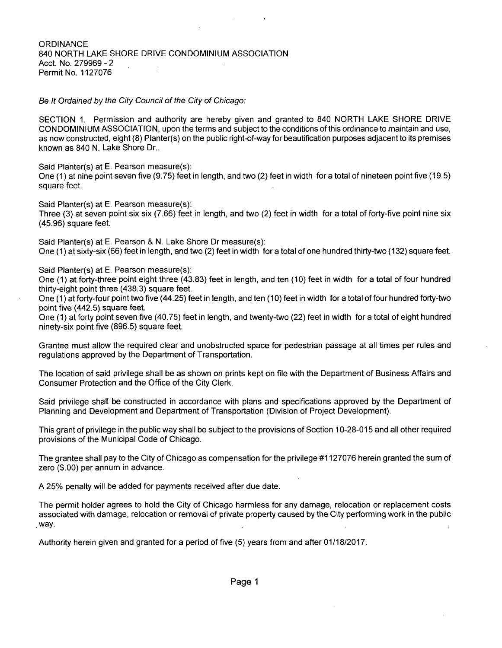### **ORDINANCE** 840 NORTH LAKE SHORE DRIVE CONDOMINIUM ASSOCIATION Acct. No. 279969 - 2 Permit No. 1127076

Se It Ordained by the City Council of the City of Chicago:

SECTION 1. Permission and authority are hereby given and granted to 840 NORTH LAKE SHORE DRIVE CONDOMINIUM ASSOCIATION, upon the terms and subject to the conditions of this ordinance to maintain and use, as now constructed, eight (8) Planter(s) on the public right-of-way for beautification purposes adjacent to its premises known as 840 N. Lake Shore Dr..

Said Planter(s) at E. Pearson measure(s):

One (1) at nine point seven five (9.75) feet in length, and two (2) feet in width fora total of nineteen point five (19.5) square feet.

Said Planter(s) at E. Pearson measure(s):

Three (3) at seven point six six (7.66) feet in length, and two (2) feet in width for a total of forty-five point nine six (45.96) square feet.

Said Planter(s) at E. Pearson & N. Lake Shore Dr measure(s): One (1) at sixty-six (66) feet in length, and two (2) feet in width for a total of one hundred thirty-two (132) square feet. One (1) at sixty-six (66) feet in length, and two (2) feet in width for a total of one hundred thirty-two (132) square feet.

Said Planter(s) at E. Pearson measure(s):

One (1) at forty-three point eight three (43.83) feet in length, and ten (10) feet in width for a total of four hundred thirty-eight point three (438.3) square feet.

One (1) at forty-four point two five (44.25) feet in length, and ten (10) feet in width for a total of four hundred forty-two point five (442.5) square feet.

One (1) at forty point seven five (40.75) feet in length, and twenty-two (22) feet in width for a total of eight hundred ninety-six point five (896.5) square feet.

Grantee must allow the required clear and unobstructed space for pedestrian passage at all times per rules and regulations approved by the Department of Transportation.

The location of said privilege shall be as shown on prints kept on file with the Department of Business Affairs and Consumer Protection and the Office of the City Clerk.

Said privilege shall be constructed in accordance with plans and specifications approved by the Department of Planning and Development and Department of Transportation (Division of Project Development).

This grant of privilege in the public way shall be subject to the provisions of Section 10-28-015 and all other required provisions of the Municipal Code of Chicago.

The grantee shall pay to the City of Chicago as compensation for the privilege #1127076 herein granted the sum of zero (\$.00) per annum in advance.

A 25% penalty will be added for payments received after due date.

The permit holder agrees to hold the City of Chicago harmless for any damage, relocation or replacement costs associated with damage, relocation or removal of private property caused by the City performing work in the public .way.

Authority herein given and granted for a period offive (5) years from and after 01/18/2017.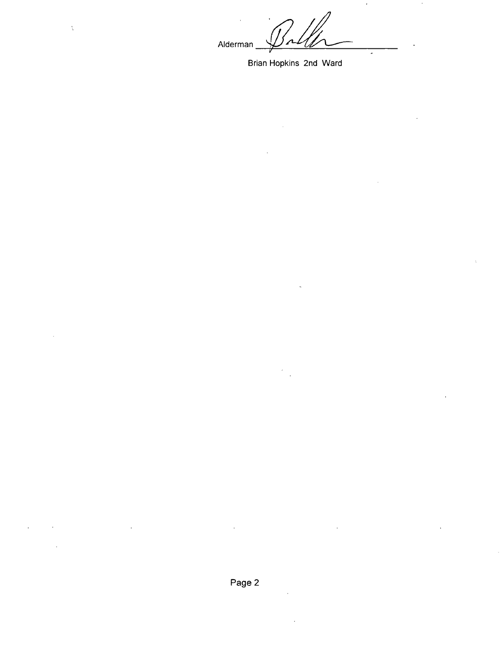Alderman

 $\overline{a}$ 

Brian Hopkins 2nd Ward

 $\chi$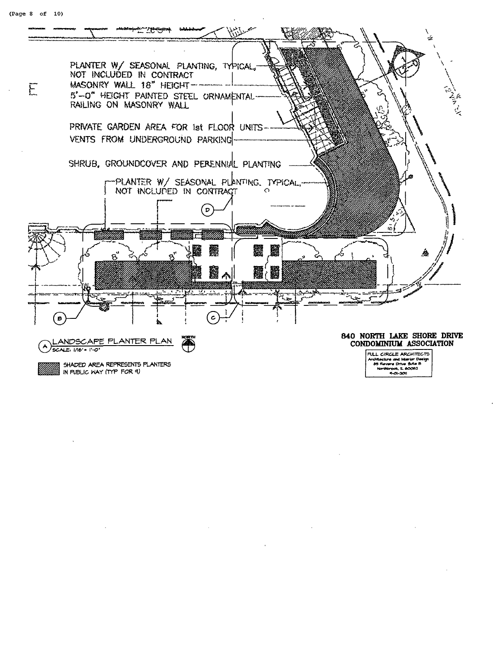

IN PUBLIC WAY (TYP FOR 9)

FULL CIRCLE ARCHITECTS<br>Architecture and interior Design<br>B5 Revere Drive futus B<br>Northbrook, IL 60062  $9 - 201$